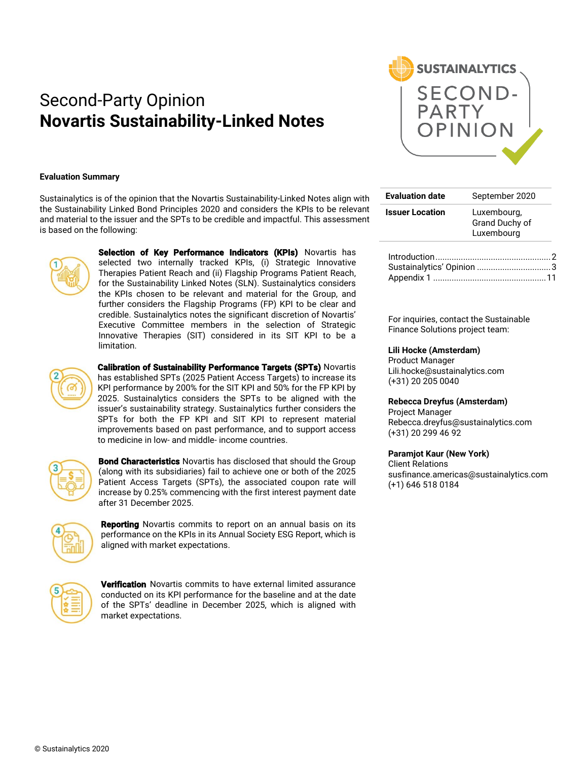# Second-Party Opinion **Novartis Sustainability-Linked Notes**

#### **Evaluation Summary**

Sustainalytics is of the opinion that the Novartis Sustainability-Linked Notes align with the Sustainability Linked Bond Principles 2020 and considers the KPIs to be relevant and material to the issuer and the SPTs to be credible and impactful. This assessment is based on the following:



Selection of Key Performance Indicators (KPIs) Novartis has selected two internally tracked KPIs, (i) Strategic Innovative Therapies Patient Reach and (ii) Flagship Programs Patient Reach, for the Sustainability Linked Notes (SLN). Sustainalytics considers the KPIs chosen to be relevant and material for the Group, and further considers the Flagship Programs (FP) KPI to be clear and credible. Sustainalytics notes the significant discretion of Novartis' Executive Committee members in the selection of Strategic Innovative Therapies (SIT) considered in its SIT KPI to be a limitation.



**Calibration of Sustainability Performance Targets (SPTs) Novartis** has established SPTs (2025 Patient Access Targets) to increase its KPI performance by 200% for the SIT KPI and 50% for the FP KPI by 2025. Sustainalytics considers the SPTs to be aligned with the issuer's sustainability strategy. Sustainalytics further considers the SPTs for both the FP KPI and SIT KPI to represent material improvements based on past performance, and to support access to medicine in low- and middle- income countries.



**Bond Characteristics** Novartis has disclosed that should the Group (along with its subsidiaries) fail to achieve one or both of the 2025 Patient Access Targets (SPTs), the associated coupon rate will increase by 0.25% commencing with the first interest payment date after 31 December 2025.



**Reporting** Novartis commits to report on an annual basis on its performance on the KPIs in its Annual Society ESG Report, which is aligned with market expectations.

**Verification** Novartis commits to have external limited assurance conducted on its KPI performance for the baseline and at the date of the SPTs' deadline in December 2025, which is aligned with market expectations.



| <b>Evaluation date</b> | September 2020                              |
|------------------------|---------------------------------------------|
| <b>Issuer Location</b> | Luxembourg,<br>Grand Duchy of<br>Luxembourg |
|                        | っ<br>Sustainalytics' Opinion<br>. 3         |

Appendix 1 [.................................................11](#page-10-0)

For inquiries, contact the Sustainable

Finance Solutions project team:

#### **Lili Hocke (Amsterdam)**

Product Manager Lili.hocke@sustainalytics.com (+31) 20 205 0040

#### **Rebecca Dreyfus (Amsterdam)**

Project Manager Rebecca.dreyfus@sustainalytics.com (+31) 20 299 46 92

#### **Paramjot Kaur (New York)**

Client Relations susfinance.americas@sustainalytics.com (+1) 646 518 0184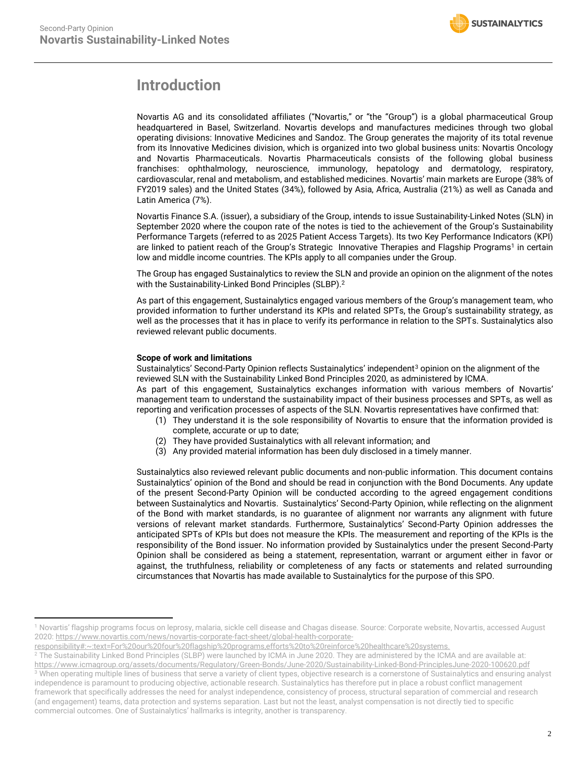

## <span id="page-1-0"></span>**Introduction**

Novartis AG and its consolidated affiliates ("Novartis," or "the "Group") is a global pharmaceutical Group headquartered in Basel, Switzerland. Novartis develops and manufactures medicines through two global operating divisions: Innovative Medicines and Sandoz. The Group generates the majority of its total revenue from its Innovative Medicines division, which is organized into two global business units: Novartis Oncology and Novartis Pharmaceuticals. Novartis Pharmaceuticals consists of the following global business franchises: ophthalmology, neuroscience, immunology, hepatology and dermatology, respiratory, cardiovascular, renal and metabolism, and established medicines. Novartis' main markets are Europe (38% of FY2019 sales) and the United States (34%), followed by Asia, Africa, Australia (21%) as well as Canada and Latin America (7%).

Novartis Finance S.A. (issuer), a subsidiary of the Group, intends to issue Sustainability-Linked Notes (SLN) in September 2020 where the coupon rate of the notes is tied to the achievement of the Group's Sustainability Performance Targets (referred to as 2025 Patient Access Targets). Its two Key Performance Indicators (KPI) are linked to patient reach of the Group's Strategic Innovative Therapies and Flagship Programs<sup>1</sup> in certain low and middle income countries. The KPIs apply to all companies under the Group.

The Group has engaged Sustainalytics to review the SLN and provide an opinion on the alignment of the notes with the Sustainability-Linked Bond Principles (SLBP).<sup>2</sup>

As part of this engagement, Sustainalytics engaged various members of the Group's management team, who provided information to further understand its KPIs and related SPTs, the Group's sustainability strategy, as well as the processes that it has in place to verify its performance in relation to the SPTs. Sustainalytics also reviewed relevant public documents.

#### **Scope of work and limitations**

Sustainalytics' Second-Party Opinion reflects Sustainalytics' independent<sup>3</sup> opinion on the alignment of the reviewed SLN with the Sustainability Linked Bond Principles 2020, as administered by ICMA. As part of this engagement, Sustainalytics exchanges information with various members of Novartis' management team to understand the sustainability impact of their business processes and SPTs, as well as reporting and verification processes of aspects of the SLN. Novartis representatives have confirmed that:

- (1) They understand it is the sole responsibility of Novartis to ensure that the information provided is complete, accurate or up to date;
- (2) They have provided Sustainalytics with all relevant information; and
- (3) Any provided material information has been duly disclosed in a timely manner.

Sustainalytics also reviewed relevant public documents and non-public information. This document contains Sustainalytics' opinion of the Bond and should be read in conjunction with the Bond Documents. Any update of the present Second-Party Opinion will be conducted according to the agreed engagement conditions between Sustainalytics and Novartis. Sustainalytics' Second-Party Opinion, while reflecting on the alignment of the Bond with market standards, is no guarantee of alignment nor warrants any alignment with future versions of relevant market standards. Furthermore, Sustainalytics' Second-Party Opinion addresses the anticipated SPTs of KPIs but does not measure the KPIs. The measurement and reporting of the KPIs is the responsibility of the Bond issuer. No information provided by Sustainalytics under the present Second-Party Opinion shall be considered as being a statement, representation, warrant or argument either in favor or against, the truthfulness, reliability or completeness of any facts or statements and related surrounding circumstances that Novartis has made available to Sustainalytics for the purpose of this SPO.

<sup>2</sup> The Sustainability Linked Bond Principles (SLBP) were launched by ICMA in June 2020. They are administered by the ICMA and are available at: <https://www.icmagroup.org/assets/documents/Regulatory/Green-Bonds/June-2020/Sustainability-Linked-Bond-PrinciplesJune-2020-100620.pdf> <sup>3</sup> When operating multiple lines of business that serve a variety of client types, objective research is a cornerstone of Sustainalytics and ensuring analyst independence is paramount to producing objective, actionable research. Sustainalytics has therefore put in place a robust conflict management framework that specifically addresses the need for analyst independence, consistency of process, structural separation of commercial and research (and engagement) teams, data protection and systems separation. Last but not the least, analyst compensation is not directly tied to specific commercial outcomes. One of Sustainalytics' hallmarks is integrity, another is transparency.

<sup>1</sup> Novartis' flagship programs focus on leprosy, malaria, sickle cell disease and Chagas disease. Source: Corporate website, Novartis, accessed August 2020[: https://www.novartis.com/news/novartis-corporate-fact-sheet/global-health-corporate-](https://www.novartis.com/news/novartis-corporate-fact-sheet/global-health-corporate-responsibility#:~:text=For%20our%20four%20flagship%20programs,efforts%20to%20reinforce%20healthcare%20systems.)

[responsibility#:~:text=For%20our%20four%20flagship%20programs,efforts%20to%20reinforce%20healthcare%20systems.](https://www.novartis.com/news/novartis-corporate-fact-sheet/global-health-corporate-responsibility#:~:text=For%20our%20four%20flagship%20programs,efforts%20to%20reinforce%20healthcare%20systems.)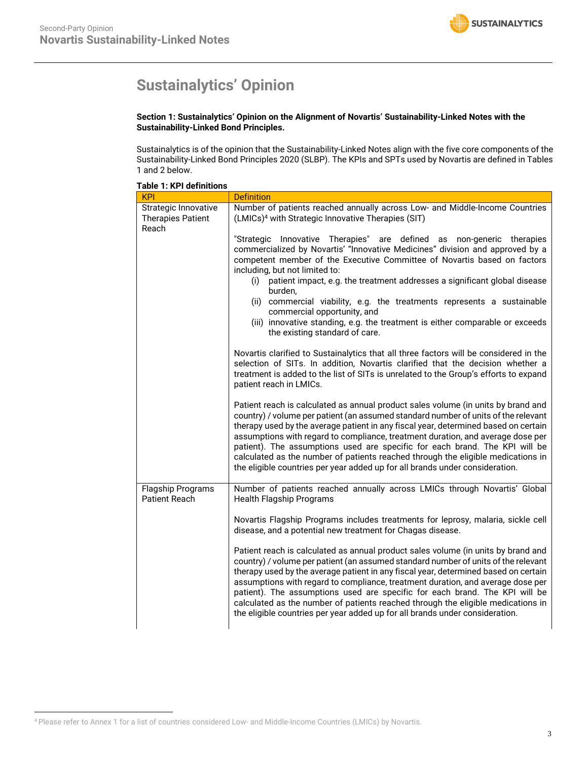## <span id="page-2-0"></span>**Sustainalytics' Opinion**

#### **Section 1: Sustainalytics' Opinion on the Alignment of Novartis' Sustainability-Linked Notes with the Sustainability-Linked Bond Principles.**

Sustainalytics is of the opinion that the Sustainability-Linked Notes align with the five core components of the Sustainability-Linked Bond Principles 2020 (SLBP). The KPIs and SPTs used by Novartis are defined in Tables 1 and 2 below.

| i abie 1. Kr i geninuons                                  |                                                                                                                                                                                                                                                                                                                                                                                                                                                                                                                                                                                                      |
|-----------------------------------------------------------|------------------------------------------------------------------------------------------------------------------------------------------------------------------------------------------------------------------------------------------------------------------------------------------------------------------------------------------------------------------------------------------------------------------------------------------------------------------------------------------------------------------------------------------------------------------------------------------------------|
| <b>KPI</b>                                                | <b>Definition</b>                                                                                                                                                                                                                                                                                                                                                                                                                                                                                                                                                                                    |
| Strategic Innovative<br><b>Therapies Patient</b><br>Reach | Number of patients reached annually across Low- and Middle-Income Countries<br>(LMICs) <sup>4</sup> with Strategic Innovative Therapies (SIT)                                                                                                                                                                                                                                                                                                                                                                                                                                                        |
|                                                           | "Strategic Innovative Therapies" are defined as non-generic therapies<br>commercialized by Novartis' "Innovative Medicines" division and approved by a<br>competent member of the Executive Committee of Novartis based on factors<br>including, but not limited to:<br>patient impact, e.g. the treatment addresses a significant global disease<br>(i)<br>burden,<br>(ii) commercial viability, e.g. the treatments represents a sustainable<br>commercial opportunity, and<br>(iii) innovative standing, e.g. the treatment is either comparable or exceeds<br>the existing standard of care.     |
|                                                           | Novartis clarified to Sustainalytics that all three factors will be considered in the<br>selection of SITs. In addition, Novartis clarified that the decision whether a<br>treatment is added to the list of SITs is unrelated to the Group's efforts to expand<br>patient reach in LMICs.                                                                                                                                                                                                                                                                                                           |
|                                                           | Patient reach is calculated as annual product sales volume (in units by brand and<br>country) / volume per patient (an assumed standard number of units of the relevant<br>therapy used by the average patient in any fiscal year, determined based on certain<br>assumptions with regard to compliance, treatment duration, and average dose per<br>patient). The assumptions used are specific for each brand. The KPI will be<br>calculated as the number of patients reached through the eligible medications in<br>the eligible countries per year added up for all brands under consideration. |
| <b>Flagship Programs</b><br><b>Patient Reach</b>          | Number of patients reached annually across LMICs through Novartis' Global<br><b>Health Flagship Programs</b>                                                                                                                                                                                                                                                                                                                                                                                                                                                                                         |
|                                                           | Novartis Flagship Programs includes treatments for leprosy, malaria, sickle cell<br>disease, and a potential new treatment for Chagas disease.                                                                                                                                                                                                                                                                                                                                                                                                                                                       |
|                                                           | Patient reach is calculated as annual product sales volume (in units by brand and<br>country) / volume per patient (an assumed standard number of units of the relevant<br>therapy used by the average patient in any fiscal year, determined based on certain<br>assumptions with regard to compliance, treatment duration, and average dose per<br>patient). The assumptions used are specific for each brand. The KPI will be<br>calculated as the number of patients reached through the eligible medications in<br>the eligible countries per year added up for all brands under consideration. |

**Table 1: KPI definitions**

<sup>4</sup>Please refer to Annex 1 for a list of countries considered Low- and Middle-Income Countries (LMICs) by Novartis.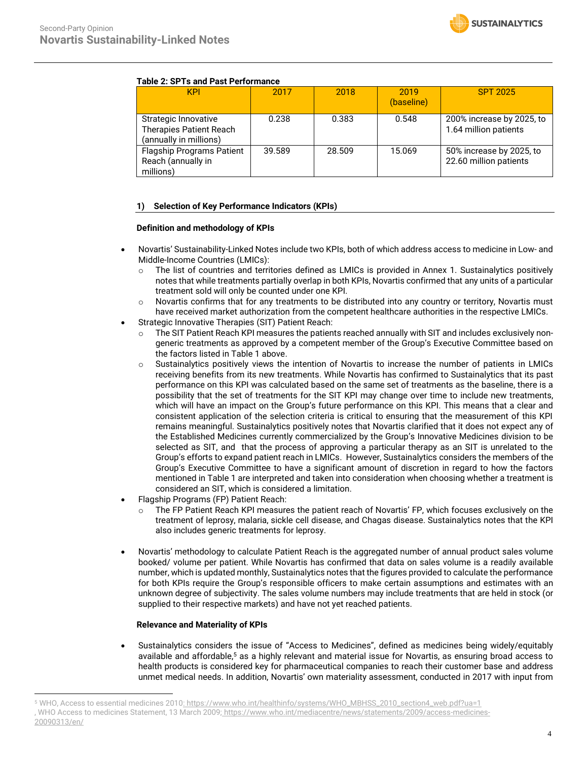## **Table 2: SPTs and Past Performance**

| <b>KPI</b>                                                                       | 2017   | 2018   | 2019<br>(baseline) | <b>SPT 2025</b>                                    |
|----------------------------------------------------------------------------------|--------|--------|--------------------|----------------------------------------------------|
| Strategic Innovative<br><b>Therapies Patient Reach</b><br>(annually in millions) | 0.238  | 0.383  | 0.548              | 200% increase by 2025, to<br>1.64 million patients |
| <b>Flagship Programs Patient</b><br>Reach (annually in<br>millions)              | 39.589 | 28.509 | 15.069             | 50% increase by 2025, to<br>22.60 million patients |

## **1) Selection of Key Performance Indicators (KPIs)**

#### **Definition and methodology of KPIs**

- Novartis' Sustainability-Linked Notes include two KPIs, both of which address access to medicine in Low- and Middle-Income Countries (LMICs):
	- o The list of countries and territories defined as LMICs is provided in Annex 1. Sustainalytics positively notes that while treatments partially overlap in both KPIs, Novartis confirmed that any units of a particular treatment sold will only be counted under one KPI.
	- $\circ$  Novartis confirms that for any treatments to be distributed into any country or territory, Novartis must have received market authorization from the competent healthcare authorities in the respective LMICs.
- Strategic Innovative Therapies (SIT) Patient Reach:
	- $\circ$  The SIT Patient Reach KPI measures the patients reached annually with SIT and includes exclusively nongeneric treatments as approved by a competent member of the Group's Executive Committee based on the factors listed in Table 1 above.
	- o Sustainalytics positively views the intention of Novartis to increase the number of patients in LMICs receiving benefits from its new treatments. While Novartis has confirmed to Sustainalytics that its past performance on this KPI was calculated based on the same set of treatments as the baseline, there is a possibility that the set of treatments for the SIT KPI may change over time to include new treatments, which will have an impact on the Group's future performance on this KPI. This means that a clear and consistent application of the selection criteria is critical to ensuring that the measurement of this KPI remains meaningful. Sustainalytics positively notes that Novartis clarified that it does not expect any of the Established Medicines currently commercialized by the Group's Innovative Medicines division to be selected as SIT, and that the process of approving a particular therapy as an SIT is unrelated to the Group's efforts to expand patient reach in LMICs. However, Sustainalytics considers the members of the Group's Executive Committee to have a significant amount of discretion in regard to how the factors mentioned in Table 1 are interpreted and taken into consideration when choosing whether a treatment is considered an SIT, which is considered a limitation.
- Flagship Programs (FP) Patient Reach:
	- o The FP Patient Reach KPI measures the patient reach of Novartis' FP, which focuses exclusively on the treatment of leprosy, malaria, sickle cell disease, and Chagas disease. Sustainalytics notes that the KPI also includes generic treatments for leprosy.
- Novartis' methodology to calculate Patient Reach is the aggregated number of annual product sales volume booked/ volume per patient. While Novartis has confirmed that data on sales volume is a readily available number, which is updated monthly, Sustainalytics notes that the figures provided to calculate the performance for both KPIs require the Group's responsible officers to make certain assumptions and estimates with an unknown degree of subjectivity. The sales volume numbers may include treatments that are held in stock (or supplied to their respective markets) and have not yet reached patients.

#### **Relevance and Materiality of KPIs**

• Sustainalytics considers the issue of "Access to Medicines", defined as medicines being widely/equitably available and affordable,<sup>5</sup> as a highly relevant and material issue for Novartis, as ensuring broad access to health products is considered key for pharmaceutical companies to reach their customer base and address unmet medical needs. In addition, Novartis' own materiality assessment, conducted in 2017 with input from

<sup>5</sup> WHO, Access to essential medicines 2010; https://www.who.int/healthinfo/systems/WHO\_MBHSS\_2010\_section4\_web.pdf?ua=1 , WHO Access to medicines Statement, 13 March 2009; [https://www.who.int/mediacentre/news/statements/2009/access-medicines-](https://www.who.int/mediacentre/news/statements/2009/access-medicines-20090313/en/)[20090313/en/](https://www.who.int/mediacentre/news/statements/2009/access-medicines-20090313/en/)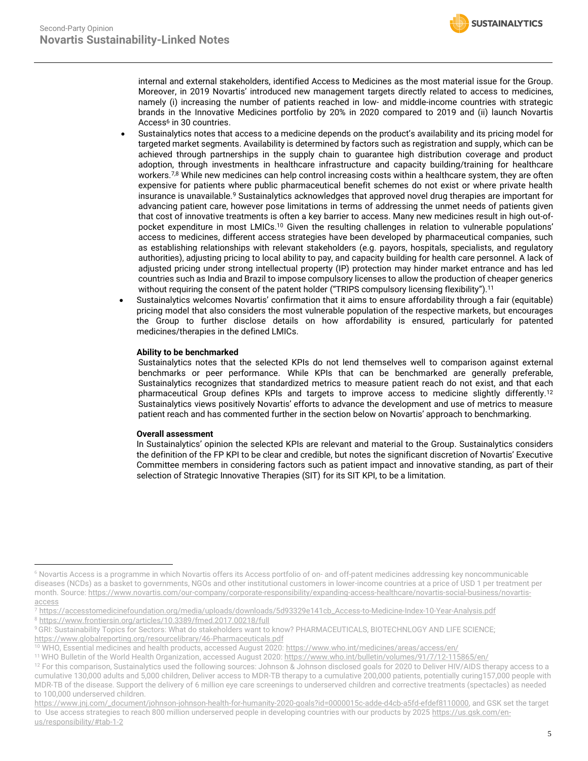

internal and external stakeholders, identified Access to Medicines as the most material issue for the Group. Moreover, in 2019 Novartis' introduced new management targets directly related to access to medicines, namely (i) increasing the number of patients reached in low- and middle-income countries with strategic brands in the Innovative Medicines portfolio by 20% in 2020 compared to 2019 and (ii) launch Novartis Access<sup>6</sup> in 30 countries.

- Sustainalytics notes that access to a medicine depends on the product's availability and its pricing model for targeted market segments. Availability is determined by factors such as registration and supply, which can be achieved through partnerships in the supply chain to guarantee high distribution coverage and product adoption, through investments in healthcare infrastructure and capacity building/training for healthcare workers. 7,8 While new medicines can help control increasing costs within a healthcare system, they are often expensive for patients where public pharmaceutical benefit schemes do not exist or where private health insurance is unavailable.<sup>9</sup> Sustainalytics acknowledges that approved novel drug therapies are important for advancing patient care, however pose limitations in terms of addressing the unmet needs of patients given that cost of innovative treatments is often a key barrier to access. Many new medicines result in high out-ofpocket expenditure in most LMICs.<sup>10</sup> Given the resulting challenges in relation to vulnerable populations' access to medicines, different access strategies have been developed by pharmaceutical companies, such as establishing relationships with relevant stakeholders (e.g. payors, hospitals, specialists, and regulatory authorities), adjusting pricing to local ability to pay, and capacity building for health care personnel. A lack of adjusted pricing under strong intellectual property (IP) protection may hinder market entrance and has led countries such as India and Brazil to impose compulsory licenses to allow the production of cheaper generics without requiring the consent of the patent holder ("TRIPS compulsory licensing flexibility"). $^{\rm 11}$
- Sustainalytics welcomes Novartis' confirmation that it aims to ensure affordability through a fair (equitable) pricing model that also considers the most vulnerable population of the respective markets, but encourages the Group to further disclose details on how affordability is ensured, particularly for patented medicines/therapies in the defined LMICs.

#### **Ability to be benchmarked**

Sustainalytics notes that the selected KPIs do not lend themselves well to comparison against external benchmarks or peer performance. While KPIs that can be benchmarked are generally preferable, Sustainalytics recognizes that standardized metrics to measure patient reach do not exist, and that each pharmaceutical Group defines KPIs and targets to improve access to medicine slightly differently.<sup>12</sup> Sustainalytics views positively Novartis' efforts to advance the development and use of metrics to measure patient reach and has commented further in the section below on Novartis' approach to benchmarking.

#### **Overall assessment**

In Sustainalytics' opinion the selected KPIs are relevant and material to the Group. Sustainalytics considers the definition of the FP KPI to be clear and credible, but notes the significant discretion of Novartis' Executive Committee members in considering factors such as patient impact and innovative standing, as part of their selection of Strategic Innovative Therapies (SIT) for its SIT KPI, to be a limitation.

<sup>6</sup> Novartis Access is a programme in which Novartis offers its Access portfolio of on- and off-patent medicines addressing key noncommunicable diseases (NCDs) as a basket to governments, NGOs and other institutional customers in lower-income countries at a price of USD 1 per treatment per month. Source: [https://www.novartis.com/our-company/corporate-responsibility/expanding-access-healthcare/novartis-social-business/novartis](https://www.novartis.com/our-company/corporate-responsibility/expanding-access-healthcare/novartis-social-business/novartis-access)[access](https://www.novartis.com/our-company/corporate-responsibility/expanding-access-healthcare/novartis-social-business/novartis-access)

<sup>7</sup> [https://accesstomedicinefoundation.org/media/uploads/downloads/5d93329e141cb\\_Access-to-Medicine-Index-10-Year-Analysis.pdf](https://accesstomedicinefoundation.org/media/uploads/downloads/5d93329e141cb_Access-to-Medicine-Index-10-Year-Analysis.pdf) <sup>8</sup> <https://www.frontiersin.org/articles/10.3389/fmed.2017.00218/full>

<sup>9</sup>GRI: Sustainability Topics for Sectors: What do stakeholders want to know? PHARMACEUTICALS, BIOTECHNLOGY AND LIFE SCIENCE; <https://www.globalreporting.org/resourcelibrary/46-Pharmaceuticals.pdf>

<sup>&</sup>lt;sup>10</sup> WHO, Essential medicines and health products, accessed August 2020[: https://www.who.int/medicines/areas/access/en/](https://www.who.int/medicines/areas/access/en/)

<sup>&</sup>lt;sup>11</sup> WHO Bulletin of the World Health Organization, accessed August 2020[: https://www.who.int/bulletin/volumes/91/7/12-115865/en/](https://www.who.int/bulletin/volumes/91/7/12-115865/en/)

<sup>&</sup>lt;sup>12</sup> For this comparison, Sustainalytics used the following sources: Johnson & Johnson disclosed goals for 2020 to Deliver HIV/AIDS therapy access to a cumulative 130,000 adults and 5,000 children, Deliver access to MDR-TB therapy to a cumulative 200,000 patients, potentially curing157,000 people with MDR-TB of the disease. Support the delivery of 6 million eye care screenings to underserved children and corrective treatments (spectacles) as needed to 100,000 underserved children.

[https://www.jnj.com/\\_document/johnson-johnson-health-for-humanity-2020-goals?id=0000015c-adde-d4cb-a5fd-efdef8110000,](https://www.jnj.com/_document/johnson-johnson-health-for-humanity-2020-goals?id=0000015c-adde-d4cb-a5fd-efdef8110000) and GSK set the target to Use access strategies to reach 800 million underserved people in developing countries with our products by 2025 [https://us.gsk.com/en](https://us.gsk.com/en-us/responsibility/#tab-1-2)[us/responsibility/#tab-1-2](https://us.gsk.com/en-us/responsibility/#tab-1-2)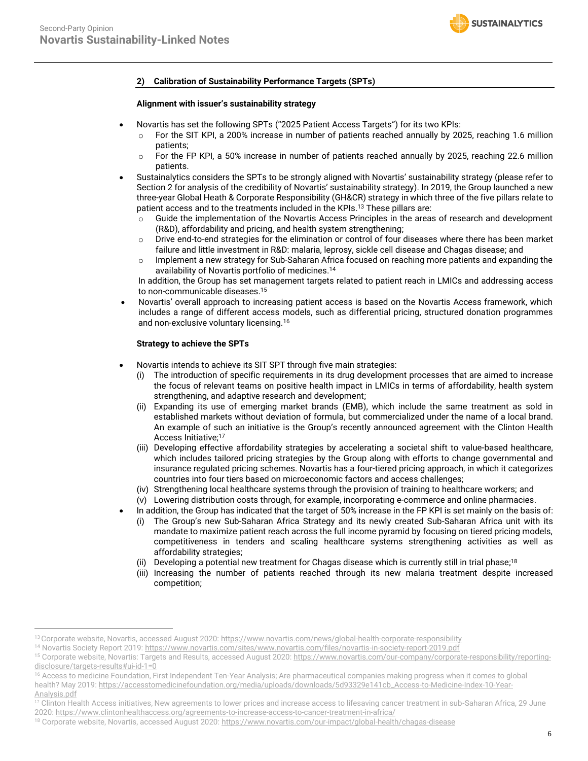

#### **2) Calibration of Sustainability Performance Targets (SPTs)**

#### **Alignment with issuer's sustainability strategy**

- Novartis has set the following SPTs ("2025 Patient Access Targets") for its two KPIs:
	- o For the SIT KPI, a 200% increase in number of patients reached annually by 2025, reaching 1.6 million patients;
	- o For the FP KPI, a 50% increase in number of patients reached annually by 2025, reaching 22.6 million patients.
- Sustainalytics considers the SPTs to be strongly aligned with Novartis' sustainability strategy (please refer to Section 2 for analysis of the credibility of Novartis' sustainability strategy). In 2019, the Group launched a new three-year Global Heath & Corporate Responsibility (GH&CR) strategy in which three of the five pillars relate to patient access and to the treatments included in the KPIs. <sup>13</sup> These pillars are:
	- o Guide the implementation of the Novartis Access Principles in the areas of research and development (R&D), affordability and pricing, and health system strengthening;
	- o Drive end-to-end strategies for the elimination or control of four diseases where there has been market failure and little investment in R&D: malaria, leprosy, sickle cell disease and Chagas disease; and
	- $\circ$  Implement a new strategy for Sub-Saharan Africa focused on reaching more patients and expanding the availability of Novartis portfolio of medicines. 14

In addition, the Group has set management targets related to patient reach in LMICs and addressing access to non-communicable diseases.<sup>15</sup>

• Novartis' overall approach to increasing patient access is based on the Novartis Access framework, which includes a range of different access models, such as differential pricing, structured donation programmes and non-exclusive voluntary licensing.<sup>16</sup>

#### **Strategy to achieve the SPTs**

- Novartis intends to achieve its SIT SPT through five main strategies:
	- (i) The introduction of specific requirements in its drug development processes that are aimed to increase the focus of relevant teams on positive health impact in LMICs in terms of affordability, health system strengthening, and adaptive research and development;
	- (ii) Expanding its use of emerging market brands (EMB), which include the same treatment as sold in established markets without deviation of formula, but commercialized under the name of a local brand. An example of such an initiative is the Group's recently announced agreement with the Clinton Health Access Initiative;<sup>17</sup>
	- (iii) Developing effective affordability strategies by accelerating a societal shift to value-based healthcare, which includes tailored pricing strategies by the Group along with efforts to change governmental and insurance regulated pricing schemes. Novartis has a four-tiered pricing approach, in which it categorizes countries into four tiers based on microeconomic factors and access challenges;
	- (iv) Strengthening local healthcare systems through the provision of training to healthcare workers; and
	- (v) Lowering distribution costs through, for example, incorporating e-commerce and online pharmacies.
- In addition, the Group has indicated that the target of 50% increase in the FP KPI is set mainly on the basis of:
	- (i) The Group's new Sub-Saharan Africa Strategy and its newly created Sub-Saharan Africa unit with its mandate to maximize patient reach across the full income pyramid by focusing on tiered pricing models, competitiveness in tenders and scaling healthcare systems strengthening activities as well as affordability strategies;
	- (ii) Developing a potential new treatment for Chagas disease which is currently still in trial phase; 18
	- (iii) Increasing the number of patients reached through its new malaria treatment despite increased competition;

<sup>&</sup>lt;sup>13</sup> Corporate website, Novartis, accessed August 2020[: https://www.novartis.com/news/global-health-corporate-responsibility](https://www.novartis.com/news/global-health-corporate-responsibility)

<sup>&</sup>lt;sup>14</sup> Novartis Society Report 2019: <https://www.novartis.com/sites/www.novartis.com/files/novartis-in-society-report-2019.pdf>

<sup>&</sup>lt;sup>15</sup> Corporate website, Novartis: Targets and Results, accessed August 2020[: https://www.novartis.com/our-company/corporate-responsibility/reporting](https://www.novartis.com/our-company/corporate-responsibility/reporting-disclosure/targets-results#ui-id-1=0)[disclosure/targets-results#ui-id-1=0](https://www.novartis.com/our-company/corporate-responsibility/reporting-disclosure/targets-results#ui-id-1=0)

<sup>&</sup>lt;sup>16</sup> Access to medicine Foundation, First Independent Ten-Year Analysis; Are pharmaceutical companies making progress when it comes to global health? May 2019[: https://accesstomedicinefoundation.org/media/uploads/downloads/5d93329e141cb\\_Access-to-Medicine-Index-10-Year-](https://accesstomedicinefoundation.org/media/uploads/downloads/5d93329e141cb_Access-to-Medicine-Index-10-Year-Analysis.pdf)

[Analysis.pdf](https://accesstomedicinefoundation.org/media/uploads/downloads/5d93329e141cb_Access-to-Medicine-Index-10-Year-Analysis.pdf)

<sup>&</sup>lt;sup>17</sup> Clinton Health Access initiatives, New agreements to lower prices and increase access to lifesaving cancer treatment in sub-Saharan Africa, 29 June 2020[: https://www.clintonhealthaccess.org/agreements-to-increase-access-to-cancer-treatment-in-africa/](https://www.clintonhealthaccess.org/agreements-to-increase-access-to-cancer-treatment-in-africa/)

<sup>&</sup>lt;sup>18</sup> Corporate website, Novartis, accessed August 2020[: https://www.novartis.com/our-impact/global-health/chagas-disease](https://www.novartis.com/our-impact/global-health/chagas-disease)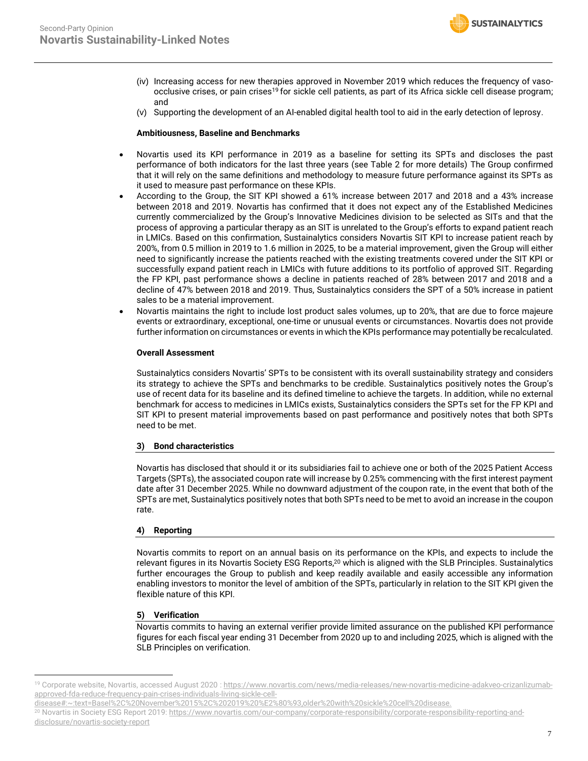

- (iv) Increasing access for new therapies approved in November 2019 which reduces the frequency of vasoocclusive crises, or pain crises<sup>19</sup> for sickle cell patients, as part of its Africa sickle cell disease program; and
- (v) Supporting the development of an AI-enabled digital health tool to aid in the early detection of leprosy.

#### **Ambitiousness, Baseline and Benchmarks**

- Novartis used its KPI performance in 2019 as a baseline for setting its SPTs and discloses the past performance of both indicators for the last three years (see Table 2 for more details) The Group confirmed that it will rely on the same definitions and methodology to measure future performance against its SPTs as it used to measure past performance on these KPIs.
- According to the Group, the SIT KPI showed a 61% increase between 2017 and 2018 and a 43% increase between 2018 and 2019. Novartis has confirmed that it does not expect any of the Established Medicines currently commercialized by the Group's Innovative Medicines division to be selected as SITs and that the process of approving a particular therapy as an SIT is unrelated to the Group's efforts to expand patient reach in LMICs. Based on this confirmation, Sustainalytics considers Novartis SIT KPI to increase patient reach by 200%, from 0.5 million in 2019 to 1.6 million in 2025, to be a material improvement, given the Group will either need to significantly increase the patients reached with the existing treatments covered under the SIT KPI or successfully expand patient reach in LMICs with future additions to its portfolio of approved SIT. Regarding the FP KPI, past performance shows a decline in patients reached of 28% between 2017 and 2018 and a decline of 47% between 2018 and 2019. Thus, Sustainalytics considers the SPT of a 50% increase in patient sales to be a material improvement.
- Novartis maintains the right to include lost product sales volumes, up to 20%, that are due to force majeure events or extraordinary, exceptional, one-time or unusual events or circumstances. Novartis does not provide further information on circumstances or events in which the KPIs performance may potentially be recalculated.

#### **Overall Assessment**

Sustainalytics considers Novartis' SPTs to be consistent with its overall sustainability strategy and considers its strategy to achieve the SPTs and benchmarks to be credible. Sustainalytics positively notes the Group's use of recent data for its baseline and its defined timeline to achieve the targets. In addition, while no external benchmark for access to medicines in LMICs exists, Sustainalytics considers the SPTs set for the FP KPI and SIT KPI to present material improvements based on past performance and positively notes that both SPTs need to be met.

#### **3) Bond characteristics**

Novartis has disclosed that should it or its subsidiaries fail to achieve one or both of the 2025 Patient Access Targets (SPTs), the associated coupon rate will increase by 0.25% commencing with the first interest payment date after 31 December 2025. While no downward adjustment of the coupon rate, in the event that both of the SPTs are met, Sustainalytics positively notes that both SPTs need to be met to avoid an increase in the coupon rate.

#### **4) Reporting**

Novartis commits to report on an annual basis on its performance on the KPIs, and expects to include the relevant figures in its Novartis Society ESG Reports,<sup>20</sup> which is aligned with the SLB Principles. Sustainalytics further encourages the Group to publish and keep readily available and easily accessible any information enabling investors to monitor the level of ambition of the SPTs, particularly in relation to the SIT KPI given the flexible nature of this KPI.

## **5) Verification**

Novartis commits to having an external verifier provide limited assurance on the published KPI performance figures for each fiscal year ending 31 December from 2020 up to and including 2025, which is aligned with the SLB Principles on verification.

<sup>20</sup> Novartis in Society ESG Report 2019[: https://www.novartis.com/our-company/corporate-responsibility/corporate-responsibility-reporting-and](https://www.novartis.com/our-company/corporate-responsibility/corporate-responsibility-reporting-and-disclosure/novartis-society-report)[disclosure/novartis-society-report](https://www.novartis.com/our-company/corporate-responsibility/corporate-responsibility-reporting-and-disclosure/novartis-society-report)

<sup>19</sup> Corporate website, Novartis, accessed August 2020 [: https://www.novartis.com/news/media-releases/new-novartis-medicine-adakveo-crizanlizumab](https://www.novartis.com/news/media-releases/new-novartis-medicine-adakveo-crizanlizumab-approved-fda-reduce-frequency-pain-crises-individuals-living-sickle-cell-disease#:~:text=Basel%2C%20November%2015%2C%202019%20%E2%80%93,older%20with%20sickle%20cell%20disease.)[approved-fda-reduce-frequency-pain-crises-individuals-living-sickle-cell-](https://www.novartis.com/news/media-releases/new-novartis-medicine-adakveo-crizanlizumab-approved-fda-reduce-frequency-pain-crises-individuals-living-sickle-cell-disease#:~:text=Basel%2C%20November%2015%2C%202019%20%E2%80%93,older%20with%20sickle%20cell%20disease.)

[disease#:~:text=Basel%2C%20November%2015%2C%202019%20%E2%80%93,older%20with%20sickle%20cell%20disease.](https://www.novartis.com/news/media-releases/new-novartis-medicine-adakveo-crizanlizumab-approved-fda-reduce-frequency-pain-crises-individuals-living-sickle-cell-disease#:~:text=Basel%2C%20November%2015%2C%202019%20%E2%80%93,older%20with%20sickle%20cell%20disease.)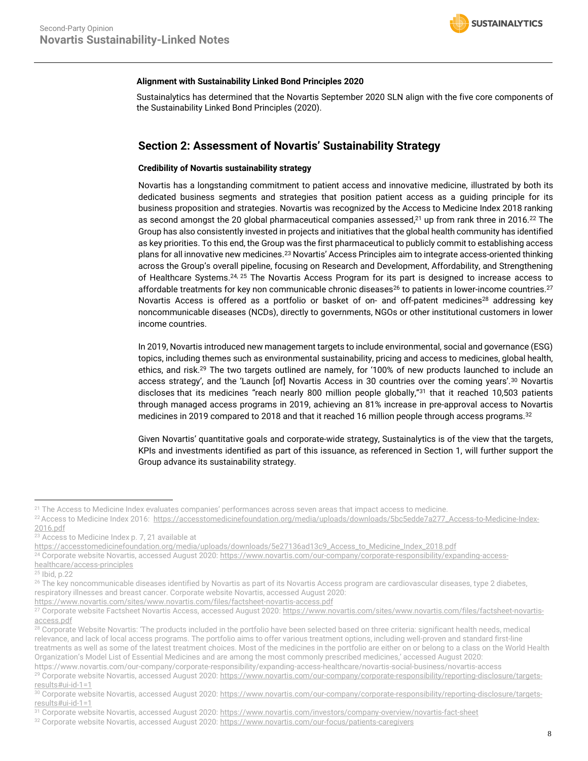#### **Alignment with Sustainability Linked Bond Principles 2020**

Sustainalytics has determined that the Novartis September 2020 SLN align with the five core components of the Sustainability Linked Bond Principles (2020).

## **Section 2: Assessment of Novartis' Sustainability Strategy**

#### **Credibility of Novartis sustainability strategy**

Novartis has a longstanding commitment to patient access and innovative medicine, illustrated by both its dedicated business segments and strategies that position patient access as a guiding principle for its business proposition and strategies. Novartis was recognized by the Access to Medicine Index 2018 ranking as second amongst the 20 global pharmaceutical companies assessed, $^{21}$  up from rank three in 2016. $^{22}$  The Group has also consistently invested in projects and initiatives that the global health community has identified as key priorities. To this end, the Group was the first pharmaceutical to publicly commit to establishing access plans for all innovative new medicines.<sup>23</sup> Novartis' Access Principles aim to integrate access-oriented thinking across the Group's overall pipeline, focusing on Research and Development, Affordability, and Strengthening of Healthcare Systems.24, 25 The Novartis Access Program for its part is designed to increase access to affordable treatments for key non communicable chronic diseases $^{26}$  to patients in lower-income countries. $^{27}$ Novartis Access is offered as a portfolio or basket of on- and off-patent medicines<sup>28</sup> addressing key noncommunicable diseases (NCDs), directly to governments, NGOs or other institutional customers in lower income countries.

In 2019, Novartis introduced new management targets to include environmental, social and governance (ESG) topics, including themes such as environmental sustainability, pricing and access to medicines, global health, ethics, and risk.<sup>29</sup> The two targets outlined are namely, for '100% of new products launched to include an access strategy', and the 'Launch [of] Novartis Access in 30 countries over the coming years'.<sup>30</sup> Novartis discloses that its medicines "reach nearly 800 million people globally,"<sup>31</sup> that it reached 10,503 patients through managed access programs in 2019, achieving an 81% increase in pre-approval access to Novartis medicines in 2019 compared to 2018 and that it reached 16 million people through access programs.<sup>32</sup>

Given Novartis' quantitative goals and corporate-wide strategy, Sustainalytics is of the view that the targets, KPIs and investments identified as part of this issuance, as referenced in Section 1, will further support the Group advance its sustainability strategy.

<https://www.novartis.com/sites/www.novartis.com/files/factsheet-novartis-access.pdf>

<sup>&</sup>lt;sup>21</sup> The Access to Medicine Index evaluates companies' performances across seven areas that impact access to medicine.

<sup>&</sup>lt;sup>22</sup> Access to Medicine Index 2016: [https://accesstomedicinefoundation.org/media/uploads/downloads/5bc5edde7a277\\_Access-to-Medicine-Index-](https://accesstomedicinefoundation.org/media/uploads/downloads/5bc5edde7a277_Access-to-Medicine-Index-2016.pdf)[2016.pdf](https://accesstomedicinefoundation.org/media/uploads/downloads/5bc5edde7a277_Access-to-Medicine-Index-2016.pdf)

<sup>&</sup>lt;sup>23</sup> Access to Medicine Index p. 7, 21 available at

[https://accesstomedicinefoundation.org/media/uploads/downloads/5e27136ad13c9\\_Access\\_to\\_Medicine\\_Index\\_2018.pdf](https://accesstomedicinefoundation.org/media/uploads/downloads/5e27136ad13c9_Access_to_Medicine_Index_2018.pdf)

<sup>&</sup>lt;sup>24</sup> Corporate website Novartis, accessed August 2020[: https://www.novartis.com/our-company/corporate-responsibility/expanding-access](https://www.novartis.com/our-company/corporate-responsibility/expanding-access-healthcare/access-principles)[healthcare/access-principles](https://www.novartis.com/our-company/corporate-responsibility/expanding-access-healthcare/access-principles)

Ibid, p.22

<sup>&</sup>lt;sup>26</sup> The key noncommunicable diseases identified by Novartis as part of its Novartis Access program are cardiovascular diseases, type 2 diabetes, respiratory illnesses and breast cancer. Corporate website Novartis, accessed August 2020:

<sup>&</sup>lt;sup>27</sup> Corporate website Factsheet Novartis Access, accessed August 2020[: https://www.novartis.com/sites/www.novartis.com/files/factsheet-novartis](https://www.novartis.com/sites/www.novartis.com/files/factsheet-novartis-access.pdf)[access.pdf](https://www.novartis.com/sites/www.novartis.com/files/factsheet-novartis-access.pdf)

<sup>&</sup>lt;sup>28</sup> Corporate Website Novartis: 'The products included in the portfolio have been selected based on three criteria: significant health needs, medical relevance, and lack of local access programs. The portfolio aims to offer various treatment options, including well-proven and standard first-line treatments as well as some of the latest treatment choices. Most of the medicines in the portfolio are either on or belong to a class on the [World Health](http://www.who.int/medicines/publications/essentialmedicines/en)  [Organization's Model List of Essential Medicines](http://www.who.int/medicines/publications/essentialmedicines/en) and are among the most commonly prescribed medicines,' accessed August 2020:

<https://www.novartis.com/our-company/corporate-responsibility/expanding-access-healthcare/novartis-social-business/novartis-access> <sup>29</sup> Corporate website Novartis, accessed August 2020[: https://www.novartis.com/our-company/corporate-responsibility/reporting-disclosure/targets](https://www.novartis.com/our-company/corporate-responsibility/reporting-disclosure/targets-results#ui-id-1=1)[results#ui-id-1=1](https://www.novartis.com/our-company/corporate-responsibility/reporting-disclosure/targets-results#ui-id-1=1)

<sup>30</sup> Corporate website Novartis, accessed August 2020[: https://www.novartis.com/our-company/corporate-responsibility/reporting-disclosure/targets](https://www.novartis.com/our-company/corporate-responsibility/reporting-disclosure/targets-results#ui-id-1=1)[results#ui-id-1=1](https://www.novartis.com/our-company/corporate-responsibility/reporting-disclosure/targets-results#ui-id-1=1)

<sup>31</sup> Corporate website Novartis, accessed August 2020[: https://www.novartis.com/investors/company-overview/novartis-fact-sheet](https://www.novartis.com/investors/company-overview/novartis-fact-sheet)

<sup>32</sup> Corporate website Novartis, accessed August 2020[: https://www.novartis.com/our-focus/patients-caregivers](https://www.novartis.com/our-focus/patients-caregivers)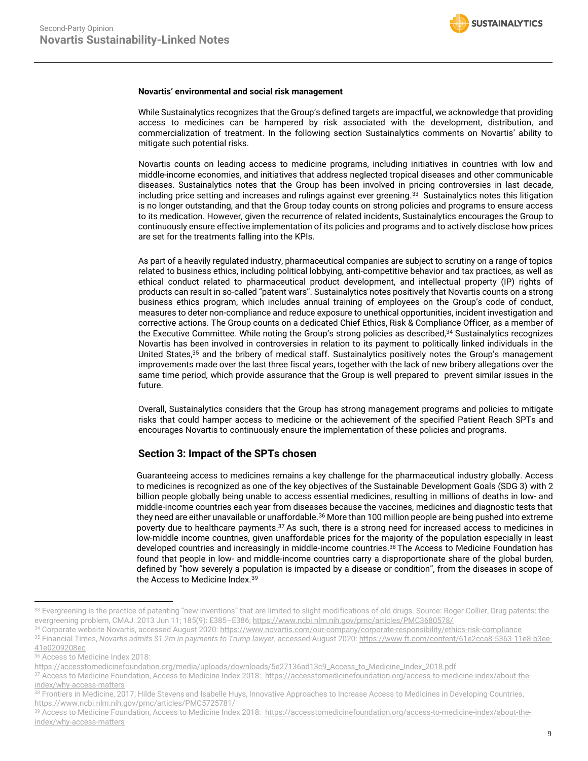

#### **Novartis' environmental and social risk management**

While Sustainalytics recognizes that the Group's defined targets are impactful, we acknowledge that providing access to medicines can be hampered by risk associated with the development, distribution, and commercialization of treatment. In the following section Sustainalytics comments on Novartis' ability to mitigate such potential risks.

Novartis counts on leading access to medicine programs, including initiatives in countries with low and middle-income economies, and initiatives that address neglected tropical diseases and other communicable diseases. Sustainalytics notes that the Group has been involved in pricing controversies in last decade, including price setting and increases and rulings against ever greening. <sup>33</sup> Sustainalytics notes this litigation is no longer outstanding, and that the Group today counts on strong policies and programs to ensure access to its medication. However, given the recurrence of related incidents, Sustainalytics encourages the Group to continuously ensure effective implementation of its policies and programs and to actively disclose how prices are set for the treatments falling into the KPIs.

As part of a heavily regulated industry, pharmaceutical companies are subject to scrutiny on a range of topics related to business ethics, including political lobbying, anti-competitive behavior and tax practices, as well as ethical conduct related to pharmaceutical product development, and intellectual property (IP) rights of products can result in so-called "patent wars". Sustainalytics notes positively that Novartis counts on a strong business ethics program, which includes annual training of employees on the Group's code of conduct, measures to deter non-compliance and reduce exposure to unethical opportunities, incident investigation and corrective actions. The Group counts on a dedicated Chief Ethics, Risk & Compliance Officer, as a member of the Executive Committee. While noting the Group's strong policies as described, <sup>34</sup> Sustainalytics recognizes Novartis has been involved in controversies in relation to its payment to politically linked individuals in the United States, <sup>35</sup> and the bribery of medical staff. Sustainalytics positively notes the Group's management improvements made over the last three fiscal years, together with the lack of new bribery allegations over the same time period, which provide assurance that the Group is well prepared to prevent similar issues in the future.

Overall, Sustainalytics considers that the Group has strong management programs and policies to mitigate risks that could hamper access to medicine or the achievement of the specified Patient Reach SPTs and encourages Novartis to continuously ensure the implementation of these policies and programs.

## **Section 3: Impact of the SPTs chosen**

Guaranteeing access to medicines remains a key challenge for the pharmaceutical industry globally. Access to medicines is recognized as one of the key objectives of the Sustainable Development Goals (SDG 3) with 2 billion people globally being unable to access essential medicines, resulting in millions of deaths in low- and middle-income countries each year from diseases because the vaccines, medicines and diagnostic tests that they need are either unavailable or unaffordable.<sup>36</sup> More than 100 million people are being pushed into extreme poverty due to healthcare payments.<sup>37</sup> As such, there is a strong need for increased access to medicines in low-middle income countries, given unaffordable prices for the majority of the population especially in least developed countries and increasingly in middle-income countries.<sup>38</sup> The Access to Medicine Foundation has found that people in low- and middle-income countries carry a disproportionate share of the global burden, defined by "how severely a population is impacted by a disease or condition", from the diseases in scope of the Access to Medicine Index. 39

<sup>&</sup>lt;sup>33</sup> Evergreening is the practice of patenting "new inventions" that are limited to slight modifications of old drugs. Source: Roger Collier, Drug patents: the evergreening problem[, CMAJ.](https://www.ncbi.nlm.nih.gov/pmc/articles/PMC3680578/) 2013 Jun 11; 185(9): E385–E386[; https://www.ncbi.nlm.nih.gov/pmc/articles/PMC3680578/](https://www.ncbi.nlm.nih.gov/pmc/articles/PMC3680578/)

<sup>&</sup>lt;sup>34</sup> Corporate website Novartis, accessed August 2020: <u>https://www.novartis.com/our-company/corporate-responsibility/ethics-risk-compliance</u>

<sup>35</sup> Financial Times, *Novartis admits \$1.2m in payments to Trump lawyer*, accessed August 2020[: https://www.ft.com/content/61e2cca8-5363-11e8-b3ee-](https://www.ft.com/content/61e2cca8-5363-11e8-b3ee-41e0209208ec)[41e0209208ec](https://www.ft.com/content/61e2cca8-5363-11e8-b3ee-41e0209208ec)

<sup>&</sup>lt;sup>36</sup> Access to Medicine Index 2018:

[https://accesstomedicinefoundation.org/media/uploads/downloads/5e27136ad13c9\\_Access\\_to\\_Medicine\\_Index\\_2018.pdf](https://accesstomedicinefoundation.org/media/uploads/downloads/5e27136ad13c9_Access_to_Medicine_Index_2018.pdf)

Access to Medicine Foundation, Access to Medicine Index 2018: [https://accesstomedicinefoundation.org/access-to-medicine-index/about-the](https://accesstomedicinefoundation.org/access-to-medicine-index/about-the-index/why-access-matters)[index/why-access-matters](https://accesstomedicinefoundation.org/access-to-medicine-index/about-the-index/why-access-matters)

<sup>&</sup>lt;sup>38</sup> Frontiers in Medicine, 2017[; Hilde Stevens](https://www.ncbi.nlm.nih.gov/pubmed/?term=Stevens%20H%5BAuthor%5D&cauthor=true&cauthor_uid=29270407) and [Isabelle Huys,](https://www.ncbi.nlm.nih.gov/pubmed/?term=Huys%20I%5BAuthor%5D&cauthor=true&cauthor_uid=29270407) Innovative Approaches to Increase Access to Medicines in Developing Countries, <https://www.ncbi.nlm.nih.gov/pmc/articles/PMC5725781/>

<sup>39</sup> Access to Medicine Foundation, Access to Medicine Index 2018: [https://accesstomedicinefoundation.org/access-to-medicine-index/about-the](https://accesstomedicinefoundation.org/access-to-medicine-index/about-the-index/why-access-matters)[index/why-access-matters](https://accesstomedicinefoundation.org/access-to-medicine-index/about-the-index/why-access-matters)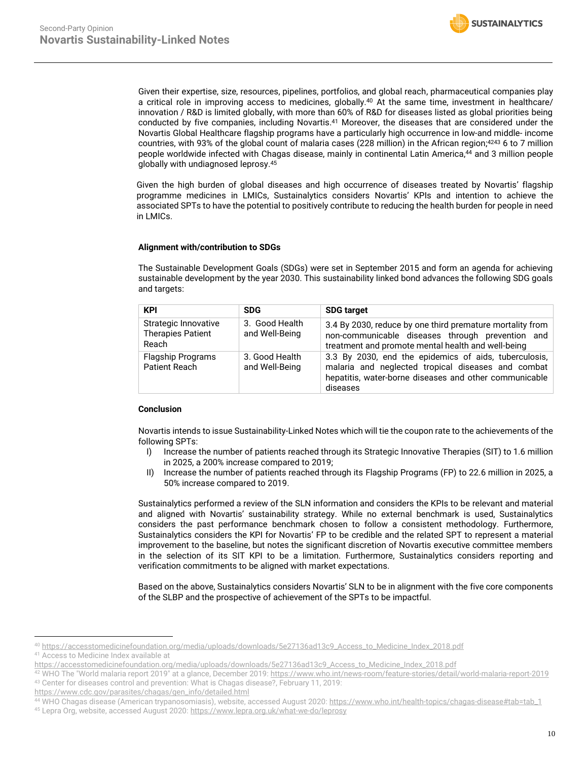

Given their expertise, size, resources, pipelines, portfolios, and global reach, pharmaceutical companies play a critical role in improving access to medicines, globally.<sup>40</sup> At the same time, investment in healthcare/ innovation / R&D is limited globally, with more than 60% of R&D for diseases listed as global priorities being conducted by five companies, including Novartis.<sup>41</sup> Moreover, the diseases that are considered under the Novartis Global Healthcare flagship programs have a particularly high occurrence in low-and middle- income countries, with 93% of the global count of malaria cases (228 million) in the African region; <sup>4243</sup> 6 to 7 million people worldwide infected with Chagas disease, mainly in continental Latin America, <sup>44</sup> and 3 million people globally with undiagnosed leprosy. 45

Given the high burden of global diseases and high occurrence of diseases treated by Novartis' flagship programme medicines in LMICs, Sustainalytics considers Novartis' KPIs and intention to achieve the associated SPTs to have the potential to positively contribute to reducing the health burden for people in need in LMICs.

#### **Alignment with/contribution to SDGs**

The Sustainable Development Goals (SDGs) were set in September 2015 and form an agenda for achieving sustainable development by the year 2030. This sustainability linked bond advances the following SDG goals and targets:

| <b>KPI</b>                                                | <b>SDG</b>                       | <b>SDG target</b>                                                                                                                                                                 |
|-----------------------------------------------------------|----------------------------------|-----------------------------------------------------------------------------------------------------------------------------------------------------------------------------------|
| Strategic Innovative<br><b>Therapies Patient</b><br>Reach | 3. Good Health<br>and Well-Being | 3.4 By 2030, reduce by one third premature mortality from<br>non-communicable diseases through prevention and<br>treatment and promote mental health and well-being               |
| <b>Flagship Programs</b><br>Patient Reach                 | 3. Good Health<br>and Well-Being | 3.3 By 2030, end the epidemics of aids, tuberculosis,<br>malaria and neglected tropical diseases and combat<br>hepatitis, water-borne diseases and other communicable<br>diseases |

## **Conclusion**

Novartis intends to issue Sustainability-Linked Notes which will tie the coupon rate to the achievements of the following SPTs:

- I) Increase the number of patients reached through its Strategic Innovative Therapies (SIT) to 1.6 million in 2025, a 200% increase compared to 2019;
- II) Increase the number of patients reached through its Flagship Programs (FP) to 22.6 million in 2025, a 50% increase compared to 2019.

Sustainalytics performed a review of the SLN information and considers the KPIs to be relevant and material and aligned with Novartis' sustainability strategy. While no external benchmark is used, Sustainalytics considers the past performance benchmark chosen to follow a consistent methodology. Furthermore, Sustainalytics considers the KPI for Novartis' FP to be credible and the related SPT to represent a material improvement to the baseline, but notes the significant discretion of Novartis executive committee members in the selection of its SIT KPI to be a limitation. Furthermore, Sustainalytics considers reporting and verification commitments to be aligned with market expectations.

Based on the above, Sustainalytics considers Novartis' SLN to be in alignment with the five core components of the SLBP and the prospective of achievement of the SPTs to be impactful.

<sup>40</sup> [https://accesstomedicinefoundation.org/media/uploads/downloads/5e27136ad13c9\\_Access\\_to\\_Medicine\\_Index\\_2018.pdf](https://accesstomedicinefoundation.org/media/uploads/downloads/5e27136ad13c9_Access_to_Medicine_Index_2018.pdf) 41 Access to Medicine Index available at

[https://accesstomedicinefoundation.org/media/uploads/downloads/5e27136ad13c9\\_Access\\_to\\_Medicine\\_Index\\_2018.pdf](https://accesstomedicinefoundation.org/media/uploads/downloads/5e27136ad13c9_Access_to_Medicine_Index_2018.pdf)

<sup>42</sup> WHO The "World malaria report 2019" at a glance, December 2019:<https://www.who.int/news-room/feature-stories/detail/world-malaria-report-2019> 43 Center for diseases control and prevention: What is Chagas disease?, February 11, 2019:

[https://www.cdc.gov/parasites/chagas/gen\\_info/detailed.html](https://www.cdc.gov/parasites/chagas/gen_info/detailed.html)

<sup>44</sup> WHO Chagas disease (American trypanosomiasis), website, accessed August 2020: [https://www.who.int/health-topics/chagas-disease#tab=tab\\_1](https://www.who.int/health-topics/chagas-disease#tab=tab_1)

<sup>45</sup> Lepra Org, website, accessed August 2020: <https://www.lepra.org.uk/what-we-do/leprosy>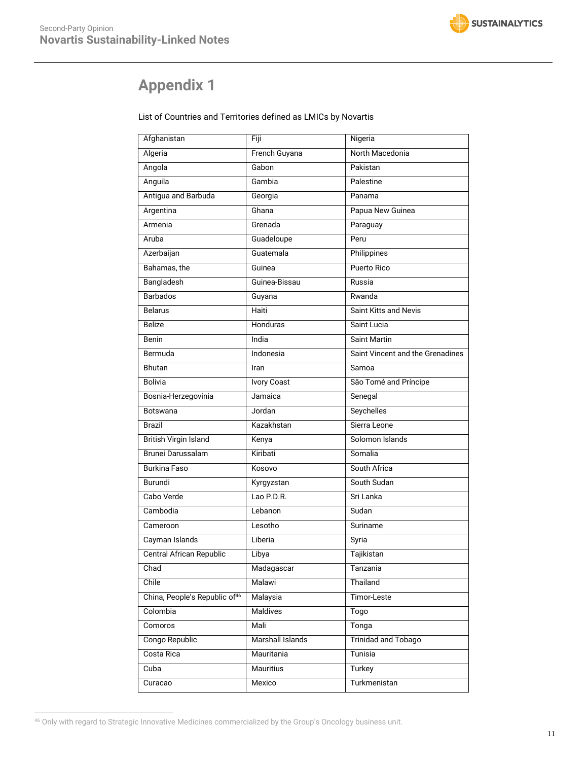# <span id="page-10-0"></span>**Appendix 1**

## List of Countries and Territories defined as LMICs by Novartis

| Afghanistan                               | Fiji               | Nigeria                          |
|-------------------------------------------|--------------------|----------------------------------|
| Algeria                                   | French Guyana      | North Macedonia                  |
| Angola                                    | Gabon              | Pakistan                         |
| Anguila                                   | Gambia             | Palestine                        |
| Antigua and Barbuda                       | Georgia            | Panama                           |
| Argentina                                 | Ghana              | Papua New Guinea                 |
| Armenia                                   | Grenada            | Paraguay                         |
| Aruba                                     | Guadeloupe         | Peru                             |
| Azerbaijan                                | Guatemala          | Philippines                      |
| Bahamas, the                              | Guinea             | Puerto Rico                      |
| Bangladesh                                | Guinea-Bissau      | Russia                           |
| <b>Barbados</b>                           | Guyana             | Rwanda                           |
| <b>Belarus</b>                            | Haiti              | <b>Saint Kitts and Nevis</b>     |
| <b>Belize</b>                             | Honduras           | Saint Lucia                      |
| Benin                                     | India              | <b>Saint Martin</b>              |
| Bermuda                                   | Indonesia          | Saint Vincent and the Grenadines |
| Bhutan                                    | Iran               | Samoa                            |
| <b>Bolivia</b>                            | <b>Ivory Coast</b> | São Tomé and Príncipe            |
| Bosnia-Herzegovinia                       | Jamaica            | Senegal                          |
| <b>Botswana</b>                           | Jordan             | Seychelles                       |
| Brazil                                    | Kazakhstan         | Sierra Leone                     |
| <b>British Virgin Island</b>              | Kenya              | Solomon Islands                  |
| Brunei Darussalam                         | Kiribati           | Somalia                          |
| <b>Burkina Faso</b>                       | Kosovo             | South Africa                     |
| Burundi                                   | Kyrgyzstan         | South Sudan                      |
| Cabo Verde                                | Lao P.D.R.         | Sri Lanka                        |
| Cambodia                                  | Lebanon            | Sudan                            |
| Cameroon                                  | Lesotho            | Suriname                         |
| Cayman Islands                            | Liberia            | Syria                            |
| Central African Republic                  | Libya              | Tajikistan                       |
| Chad                                      | Madagascar         | Tanzania                         |
| Chile                                     | Malawi             | Thailand                         |
| China, People's Republic of <sup>46</sup> | Malaysia           | Timor-Leste                      |
| Colombia                                  | Maldives           | Togo                             |
| Comoros                                   | Mali               | Tonga                            |
| Congo Republic                            | Marshall Islands   | Trinidad and Tobago              |
| Costa Rica                                | Mauritania         | Tunisia                          |
| Cuba                                      | Mauritius          | Turkey                           |
| Curacao                                   | Mexico             | Turkmenistan                     |

<sup>46</sup> Only with regard to Strategic Innovative Medicines commercialized by the Group's Oncology business unit.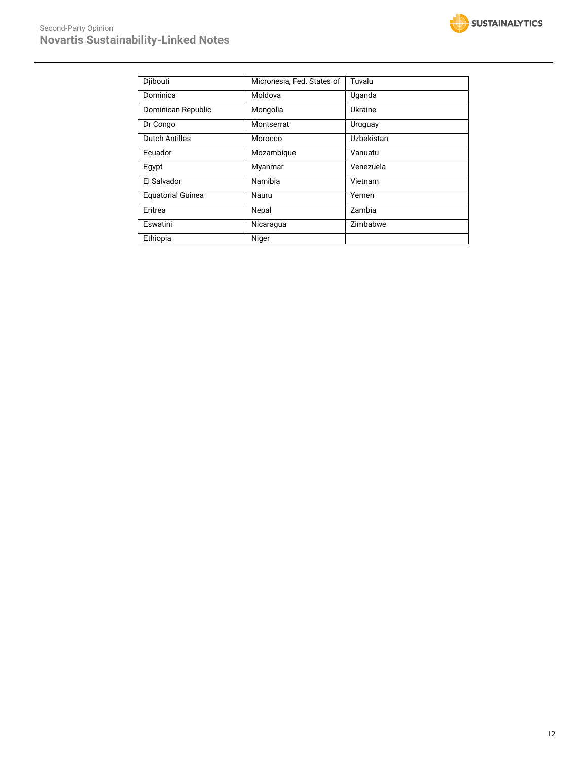

| Djibouti              | Micronesia, Fed. States of | Tuvalu     |
|-----------------------|----------------------------|------------|
| Dominica              | Moldova                    | Uganda     |
| Dominican Republic    | Mongolia                   | Ukraine    |
| Dr Congo              | Montserrat                 | Uruguay    |
| <b>Dutch Antilles</b> | Morocco                    | Uzbekistan |
| Ecuador               | Mozambique                 | Vanuatu    |
| Egypt                 | Myanmar                    | Venezuela  |
| El Salvador           | Namibia                    | Vietnam    |
| Equatorial Guinea     | Nauru                      | Yemen      |
| Eritrea               | Nepal                      | Zambia     |
| Eswatini              | Nicaragua                  | Zimbabwe   |
| Ethiopia              | Niger                      |            |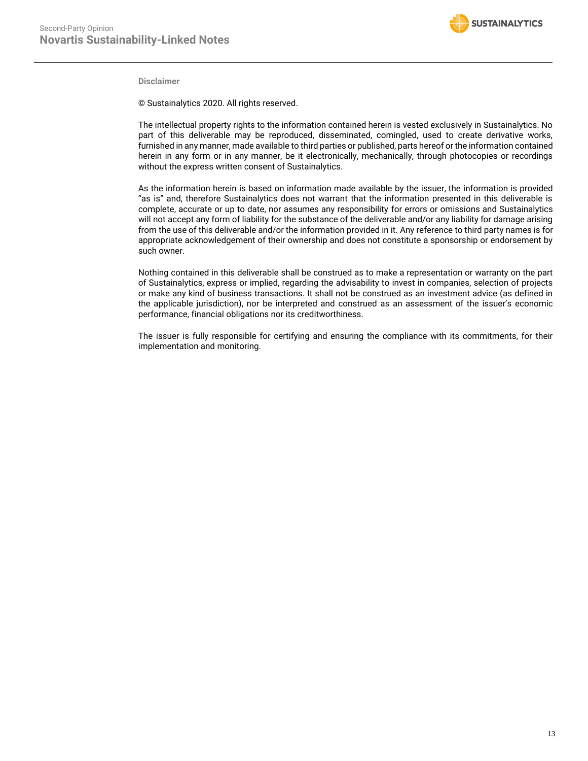

**Disclaimer**

© Sustainalytics 2020. All rights reserved.

The intellectual property rights to the information contained herein is vested exclusively in Sustainalytics. No part of this deliverable may be reproduced, disseminated, comingled, used to create derivative works, furnished in any manner, made available to third parties or published, parts hereof or the information contained herein in any form or in any manner, be it electronically, mechanically, through photocopies or recordings without the express written consent of Sustainalytics.

As the information herein is based on information made available by the issuer, the information is provided "as is" and, therefore Sustainalytics does not warrant that the information presented in this deliverable is complete, accurate or up to date, nor assumes any responsibility for errors or omissions and Sustainalytics will not accept any form of liability for the substance of the deliverable and/or any liability for damage arising from the use of this deliverable and/or the information provided in it. Any reference to third party names is for appropriate acknowledgement of their ownership and does not constitute a sponsorship or endorsement by such owner.

Nothing contained in this deliverable shall be construed as to make a representation or warranty on the part of Sustainalytics, express or implied, regarding the advisability to invest in companies, selection of projects or make any kind of business transactions. It shall not be construed as an investment advice (as defined in the applicable jurisdiction), nor be interpreted and construed as an assessment of the issuer's economic performance, financial obligations nor its creditworthiness.

The issuer is fully responsible for certifying and ensuring the compliance with its commitments, for their implementation and monitoring.